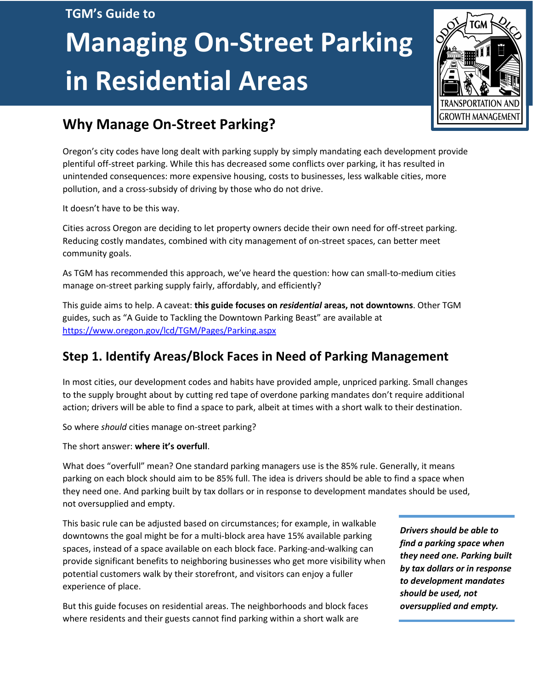#### **TGM's Guide to**

# **Managing On-Street Parking in Residential Areas**



# **Why Manage On-Street Parking?**

Oregon's city codes have long dealt with parking supply by simply mandating each development provide plentiful off-street parking. While this has decreased some conflicts over parking, it has resulted in unintended consequences: more expensive housing, costs to businesses, less walkable cities, more pollution, and a cross-subsidy of driving by those who do not drive.

It doesn't have to be this way.

Cities across Oregon are deciding to let property owners decide their own need for off-street parking. Reducing costly mandates, combined with city management of on-street spaces, can better meet community goals.

As TGM has recommended this approach, we've heard the question: how can small-to-medium cities manage on-street parking supply fairly, affordably, and efficiently?

This guide aims to help. A caveat: **this guide focuses on** *residential* **areas, not downtowns**. Other TGM guides, such as "A Guide to Tackling the Downtown Parking Beast" are available at <https://www.oregon.gov/lcd/TGM/Pages/Parking.aspx>

## **Step 1. Identify Areas/Block Faces in Need of Parking Management**

In most cities, our development codes and habits have provided ample, unpriced parking. Small changes to the supply brought about by cutting red tape of overdone parking mandates don't require additional action; drivers will be able to find a space to park, albeit at times with a short walk to their destination.

So where *should* cities manage on-street parking?

The short answer: **where it's overfull**.

What does "overfull" mean? One standard parking managers use is the 85% rule. Generally, it means parking on each block should aim to be 85% full. The idea is drivers should be able to find a space when they need one. And parking built by tax dollars or in response to development mandates should be used, not oversupplied and empty.

This basic rule can be adjusted based on circumstances; for example, in walkable downtowns the goal might be for a multi-block area have 15% available parking spaces, instead of a space available on each block face. Parking-and-walking can provide significant benefits to neighboring businesses who get more visibility when potential customers walk by their storefront, and visitors can enjoy a fuller experience of place.

But this guide focuses on residential areas. The neighborhoods and block faces where residents and their guests cannot find parking within a short walk are

*Drivers should be able to find a parking space when they need one. Parking built by tax dollars or in response to development mandates should be used, not oversupplied and empty.*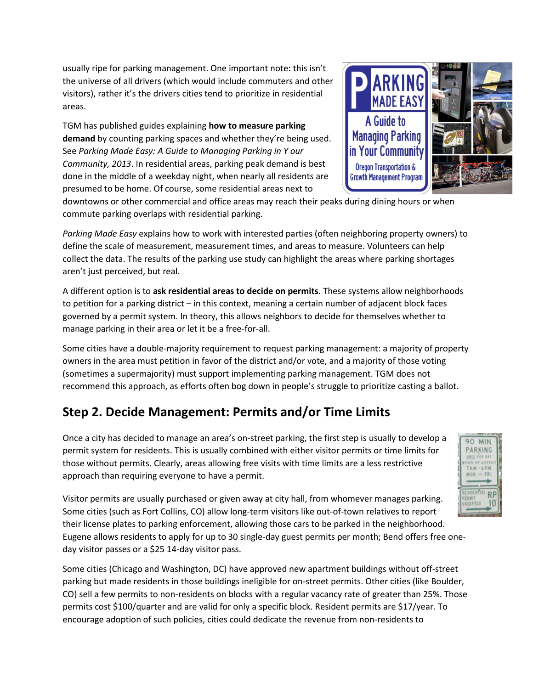usually ripe for parking management. One important note: this isn't the universe of all drivers (which would include commuters and other visitors), rather it's the drivers cities tend to prioritize in residential areas.

TGM has published guides explaining **how to measure parking demand** by counting parking spaces and whether they're being used. See *Parking Made Easy: A Guide to Managing Parking in Y our Community, 2013*. In residential areas, parking peak demand is best done in the middle of a weekday night, when nearly all residents are presumed to be home. Of course, some residential areas next to



downtowns or other commercial and office areas may reach their peaks during dining hours or when commute parking overlaps with residential parking.

*Parking Made Easy* explains how to work with interested parties (often neighboring property owners) to define the scale of measurement, measurement times, and areas to measure. Volunteers can help collect the data. The results of the parking use study can highlight the areas where parking shortages aren't just perceived, but real.

A different option is to **ask residential areas to decide on permits**. These systems allow neighborhoods to petition for a parking district – in this context, meaning a certain number of adjacent block faces governed by a permit system. In theory, this allows neighbors to decide for themselves whether to manage parking in their area or let it be a free-for-all.

Some cities have a double-majority requirement to request parking management: a majority of property owners in the area must petition in favor of the district and/or vote, and a majority of those voting (sometimes a supermajority) must support implementing parking management. TGM does not recommend this approach, as efforts often bog down in people's struggle to prioritize casting a ballot.

## **Step 2. Decide Management: Permits and/or Time Limits**

Once a city has decided to manage an area's on-street parking, the first step is usually to develop a permit system for residents. This is usually combined with either visitor permits or time limits for those without permits. Clearly, areas allowing free visits with time limits are a less restrictive approach than requiring everyone to have a permit.



Visitor permits are usually purchased or given away at city hall, from whomever manages parking. Some cities (such as Fort Collins, CO) allow long-term visitors like out-of-town relatives to report their license plates to parking enforcement, allowing those cars to be parked in the neighborhood. Eugene allows residents to apply for up to 30 single-day guest permits per month; Bend offers free oneday visitor passes or a \$25 14-day visitor pass.

Some cities (Chicago and Washington, DC) have approved new apartment buildings without off-street parking but made residents in those buildings ineligible for on-street permits. Other cities (like Boulder, CO) sell a few permits to non-residents on blocks with a regular vacancy rate of greater than 25%. Those permits cost \$100/quarter and are valid for only a specific block. Resident permits are \$17/year. To encourage adoption of such policies, cities could dedicate the revenue from non-residents to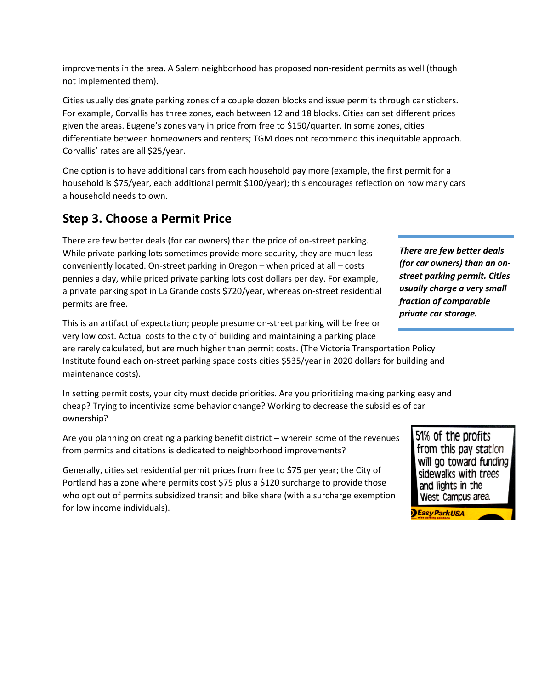improvements in the area. A Salem neighborhood has proposed non-resident permits as well (though not implemented them).

Cities usually designate parking zones of a couple dozen blocks and issue permits through car stickers. For example, Corvallis has three zones, each between 12 and 18 blocks. Cities can set different prices given the areas. Eugene's zones vary in price from free to \$150/quarter. In some zones, cities differentiate between homeowners and renters; TGM does not recommend this inequitable approach. Corvallis' rates are all \$25/year.

One option is to have additional cars from each household pay more (example, the first permit for a household is \$75/year, each additional permit \$100/year); this encourages reflection on how many cars a household needs to own.

### **Step 3. Choose a Permit Price**

There are few better deals (for car owners) than the price of on-street parking. While private parking lots sometimes provide more security, they are much less conveniently located. On-street parking in Oregon – when priced at all – costs pennies a day, while priced private parking lots cost dollars per day. For example, a private parking spot in La Grande costs \$720/year, whereas on-street residential permits are free.

This is an artifact of expectation; people presume on-street parking will be free or very low cost. Actual costs to the city of building and maintaining a parking place

are rarely calculated, but are much higher than permit costs. (The Victoria Transportation Policy Institute found each on-street parking space costs cities \$535/year in 2020 dollars for building and maintenance costs).

In setting permit costs, your city must decide priorities. Are you prioritizing making parking easy and cheap? Trying to incentivize some behavior change? Working to decrease the subsidies of car ownership?

Are you planning on creating a parking benefit district – wherein some of the revenues from permits and citations is dedicated to neighborhood improvements?

Generally, cities set residential permit prices from free to \$75 per year; the City of Portland has a zone where permits cost \$75 plus a \$120 surcharge to provide those who opt out of permits subsidized transit and bike share (with a surcharge exemption for low income individuals).

*There are few better deals (for car owners) than an onstreet parking permit. Cities usually charge a very small fraction of comparable private car storage.*

> 51% of the profits from this pay station will go toward funding sidewalks with trees and lights in the West Campus area.

**Basy ParkUSA**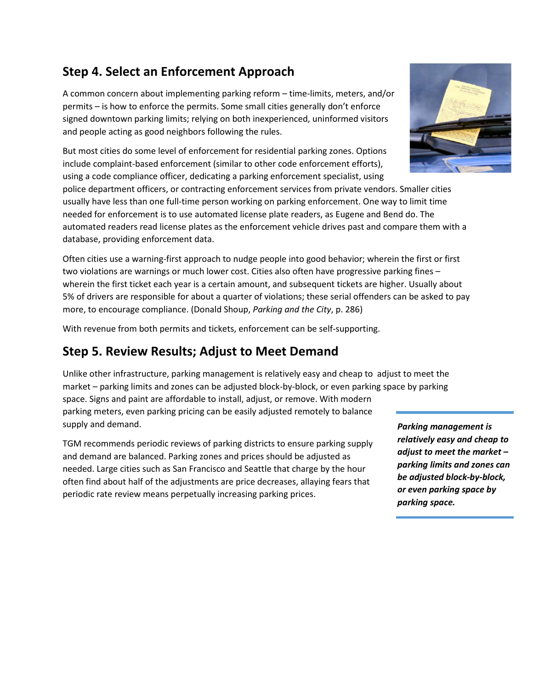## **Step 4. Select an Enforcement Approach**

A common concern about implementing parking reform – time-limits, meters, and/or permits – is how to enforce the permits. Some small cities generally don't enforce signed downtown parking limits; relying on both inexperienced, uninformed visitors and people acting as good neighbors following the rules.

But most cities do some level of enforcement for residential parking zones. Options include complaint-based enforcement (similar to other code enforcement efforts), using a code compliance officer, dedicating a parking enforcement specialist, using

police department officers, or contracting enforcement services from private vendors. Smaller cities usually have less than one full-time person working on parking enforcement. One way to limit time needed for enforcement is to use automated license plate readers, as Eugene and Bend do. The automated readers read license plates as the enforcement vehicle drives past and compare them with a database, providing enforcement data.

Often cities use a warning-first approach to nudge people into good behavior; wherein the first or first two violations are warnings or much lower cost. Cities also often have progressive parking fines – wherein the first ticket each year is a certain amount, and subsequent tickets are higher. Usually about 5% of drivers are responsible for about a quarter of violations; these serial offenders can be asked to pay more, to encourage compliance. (Donald Shoup, *Parking and the City*, p. 286)

With revenue from both permits and tickets, enforcement can be self-supporting.

#### **Step 5. Review Results; Adjust to Meet Demand**

Unlike other infrastructure, parking management is relatively easy and cheap to adjust to meet the market – parking limits and zones can be adjusted block-by-block, or even parking space by parking space. Signs and paint are affordable to install, adjust, or remove. With modern parking meters, even parking pricing can be easily adjusted remotely to balance supply and demand.

TGM recommends periodic reviews of parking districts to ensure parking supply and demand are balanced. Parking zones and prices should be adjusted as needed. Large cities such as San Francisco and Seattle that charge by the hour often find about half of the adjustments are price decreases, allaying fears that periodic rate review means perpetually increasing parking prices.

*Parking management is relatively easy and cheap to adjust to meet the market – parking limits and zones can be adjusted block-by-block, or even parking space by parking space.*

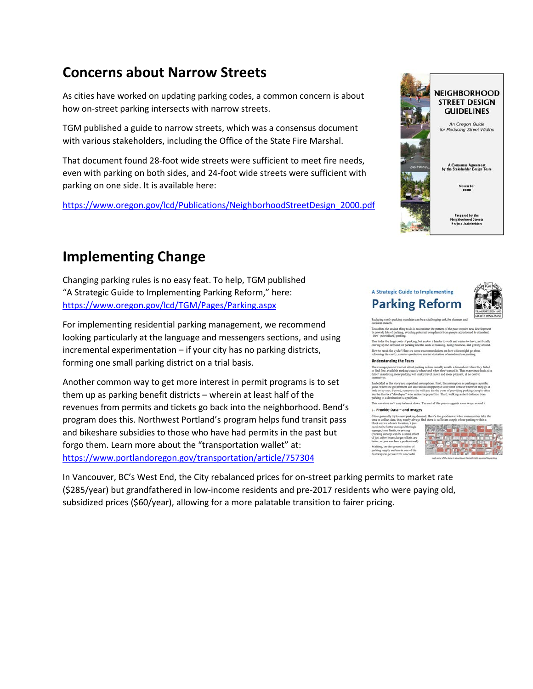# **Concerns about Narrow Streets**

As cities have worked on updating parking codes, a common concern is about how on-street parking intersects with narrow streets.

TGM published a guide to narrow streets, which was a consensus document with various stakeholders, including the Office of the State Fire Marshal.

That document found 28-foot wide streets were sufficient to meet fire needs, even with parking on both sides, and 24-foot wide streets were sufficient with parking on one side. It is available here:

[https://www.oregon.gov/lcd/Publications/NeighborhoodStreetDesign\\_2000.pdf](https://www.oregon.gov/lcd/Publications/NeighborhoodStreetDesign_2000.pdf)

# **Implementing Change**

Changing parking rules is no easy feat. To help, TGM published "A Strategic Guide to Implementing Parking Reform," here: <https://www.oregon.gov/lcd/TGM/Pages/Parking.aspx>

For implementing residential parking management, we recommend looking particularly at the language and messengers sections, and using incremental experimentation – if your city has no parking districts, forming one small parking district on a trial basis.

Another common way to get more interest in permit programs is to set them up as parking benefit districts – wherein at least half of the revenues from permits and tickets go back into the neighborhood. Bend's program does this. Northwest Portland's program helps fund transit pass and bikeshare subsidies to those who have had permits in the past but forgo them. Learn more about the "transportation wallet" at: <https://www.portlandoregon.gov/transportation/article/757304>



#### A Strategic Guide to Implementing **Parking Reform**



his hides the large costs of parking, b<br>riving up the demand for parking and low to break the cycle? Here are some i<br>forming the costly, counter-productive

#### rstanding the Fears

tive isn't easy to break down. The

#### 1. Provide Data - and Images



In Vancouver, BC's West End, the City rebalanced prices for on-street parking permits to market rate (\$285/year) but grandfathered in low-income residents and pre-2017 residents who were paying old, subsidized prices (\$60/year), allowing for a more palatable transition to fairer pricing.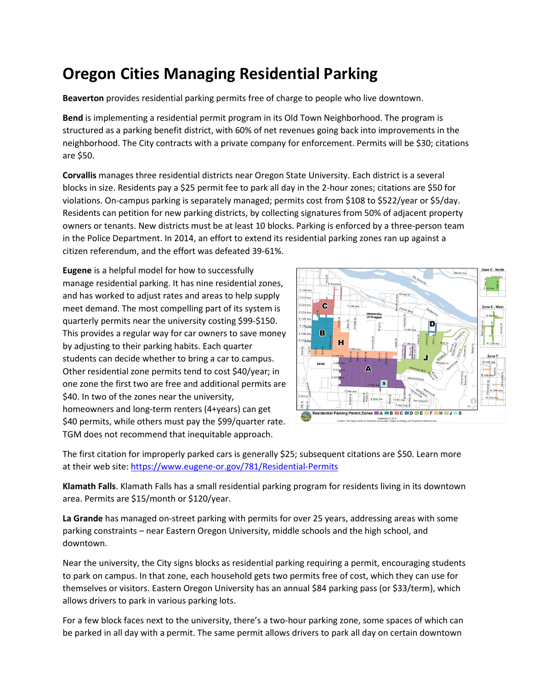# **Oregon Cities Managing Residential Parking**

**Beaverton** provides residential parking permits free of charge to people who live downtown.

**Bend** is implementing a residential permit program in its Old Town Neighborhood. The program is structured as a parking benefit district, with 60% of net revenues going back into improvements in the neighborhood. The City contracts with a private company for enforcement. Permits will be \$30; citations are \$50.

**Corvallis** manages three residential districts near Oregon State University. Each district is a several blocks in size. Residents pay a \$25 permit fee to park all day in the 2-hour zones; citations are \$50 for violations. On-campus parking is separately managed; permits cost from \$108 to \$522/year or \$5/day. Residents can petition for new parking districts, by collecting signatures from 50% of adjacent property owners or tenants. New districts must be at least 10 blocks. Parking is enforced by a three-person team in the Police Department. In 2014, an effort to extend its residential parking zones ran up against a citizen referendum, and the effort was defeated 39-61%.

**Eugene** is a helpful model for how to successfully manage residential parking. It has nine residential zones, and has worked to adjust rates and areas to help supply meet demand. The most compelling part of its system is quarterly permits near the university costing \$99-\$150. This provides a regular way for car owners to save money by adjusting to their parking habits. Each quarter students can decide whether to bring a car to campus. Other residential zone permits tend to cost \$40/year; in one zone the first two are free and additional permits are \$40. In two of the zones near the university, homeowners and long-term renters (4+years) can get \$40 permits, while others must pay the \$99/quarter rate. TGM does not recommend that inequitable approach.



The first citation for improperly parked cars is generally \$25; subsequent citations are \$50. Learn more at their web site:<https://www.eugene-or.gov/781/Residential-Permits>

**Klamath Falls**. Klamath Falls has a small residential parking program for residents living in its downtown area. Permits are \$15/month or \$120/year.

**La Grande** has managed on-street parking with permits for over 25 years, addressing areas with some parking constraints – near Eastern Oregon University, middle schools and the high school, and downtown.

Near the university, the City signs blocks as residential parking requiring a permit, encouraging students to park on campus. In that zone, each household gets two permits free of cost, which they can use for themselves or visitors. Eastern Oregon University has an annual \$84 parking pass (or \$33/term), which allows drivers to park in various parking lots.

For a few block faces next to the university, there's a two-hour parking zone, some spaces of which can be parked in all day with a permit. The same permit allows drivers to park all day on certain downtown